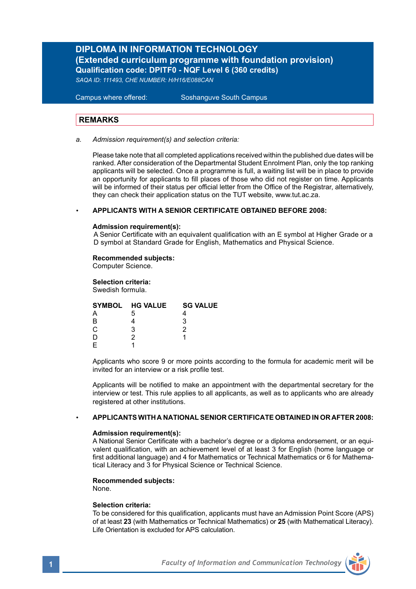## **DIPLOMA IN INFORMATION TECHNOLOGY (Extended curriculum programme with foundation provision) Qualification code: DPITF0 - NQF Level 6 (360 credits)**

*SAQA ID: 111493, CHE NUMBER: H/H16/E088CAN*

**Campus where offered:** 

Soshanguve South Campus

## **REMARKS**

*a. Admission requirement(s) and selection criteria:*

Please take note that all completed applications received within the published due dates will be ranked. After consideration of the Departmental Student Enrolment Plan, only the top ranking applicants will be selected. Once a programme is full, a waiting list will be in place to provide an opportunity for applicants to fill places of those who did not register on time. Applicants will be informed of their status per official letter from the Office of the Registrar, alternatively, they can check their application status on the TUT website, www.tut.ac.za.

### *•* **APPLICANTS WITH A SENIOR CERTIFICATE OBTAINED BEFORE 2008:**

#### **Admission requirement(s):**

A Senior Certificate with an equivalent qualification with an E symbol at Higher Grade or a D symbol at Standard Grade for English, Mathematics and Physical Science.

### **Recommended subjects:**

Computer Science.

#### **Selection criteria:** Swedish formula.

|    | SYMBOL HG VALUE | <b>SG VALUE</b> |  |
|----|-----------------|-----------------|--|
|    | .h              |                 |  |
| R  |                 |                 |  |
| C. | 2               |                 |  |
|    |                 |                 |  |
|    |                 |                 |  |
|    |                 |                 |  |

Applicants who score 9 or more points according to the formula for academic merit will be invited for an interview or a risk profile test.

Applicants will be notified to make an appointment with the departmental secretary for the interview or test. This rule applies to all applicants, as well as to applicants who are already registered at other institutions.

#### *•* **APPLICANTS WITH A NATIONAL SENIOR CERTIFICATE OBTAINED IN OR AFTER 2008:**

#### **Admission requirement(s):**

A National Senior Certificate with a bachelor's degree or a diploma endorsement, or an equivalent qualification, with an achievement level of at least 3 for English (home language or first additional language) and 4 for Mathematics or Technical Mathematics or 6 for Mathematical Literacy and 3 for Physical Science or Technical Science.

### **Recommended subjects:**

None.

#### **Selection criteria:**

To be considered for this qualification, applicants must have an Admission Point Score (APS) of at least **23** (with Mathematics or Technical Mathematics) or **25** (with Mathematical Literacy). Life Orientation is excluded for APS calculation.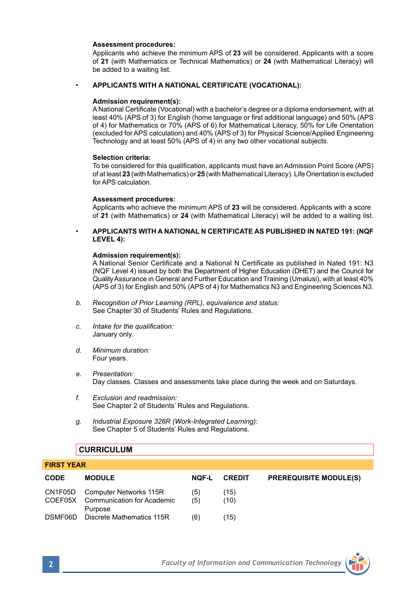#### **Assessment procedures:**

 Applicants who achieve the minimum APS of **23** will be considered. Applicants with a score of **21** (with Mathematics or Technical Mathematics) or **24** (with Mathematical Literacy) will be added to a waiting list.

### • **APPLICANTS WITH A NATIONAL CERTIFICATE (VOCATIONAL):**

#### **Admission requirement(s):**

A National Certificate (Vocational) with a bachelor's degree or a diploma endorsement, with at least 40% (APS of 3) for English (home language or first additional language) and 50% (APS of 4) for Mathematics or 70% (APS of 6) for Mathematical Literacy, 50% for Life Orientation (excluded for APS calculation) and 40% (APS of 3) for Physical Science/Applied Engineering Technology and at least 50% (APS of 4) in any two other vocational subjects.

#### **Selection criteria:**

To be considered for this qualification, applicants must have an Admission Point Score (APS) of at least **23** (with Mathematics) or **25** (with Mathematical Literacy). Life Orientation is excluded for APS calculation.

#### **Assessment procedures:**

Applicants who achieve the minimum APS of **23** will be considered. Applicants with a score of **21** (with Mathematics) or **24** (with Mathematical Literacy) will be added to a waiting list.

• **APPLICANTS WITH A NATIONAL N CERTIFICATE AS PUBLISHED IN NATED 191: (NQF LEVEL 4):**

#### **Admission requirement(s):**

A National Senior Certificate and a National N Certificate as published in Nated 191: N3 (NQF Level 4) issued by both the Department of Higher Education (DHET) and the Council for Quality Assurance in General and Further Education and Training (Umalusi), with at least 40% (APS of 3) for English and 50% (APS of 4) for Mathematics N3 and Engineering Sciences N3.

- *b. Recognition of Prior Learning (RPL), equivalence and status:* See Chapter 30 of Students' Rules and Regulations.
- *c. Intake for the qualification:*  January only.
- *d. Minimum duration:* Four years.
- *e. Presentation:*  Day classes. Classes and assessments take place during the week and on Saturdays.
- *f. Exclusion and readmission:* See Chapter 2 of Students' Rules and Regulations.
- *g. Industrial Exposure 326R (Work-Integrated Learning):* See Chapter 5 of Students' Rules and Regulations.

### **CURRICULUM**

| <b>CODE</b> | <b>MODULE</b>                                                                   | <b>NOF-L</b> | <b>CREDIT</b> | <b>PREREQUISITE MODULE(S)</b> |  |
|-------------|---------------------------------------------------------------------------------|--------------|---------------|-------------------------------|--|
|             | CN1F05D Computer Networks 115R<br>COEF05X Communication for Academic<br>Purpose | (5)<br>(5)   | (15)<br>(10)  |                               |  |
|             | DSMF06D Discrete Mathematics 115R                                               | (6)          | (15)          |                               |  |



**FIRST YEAR**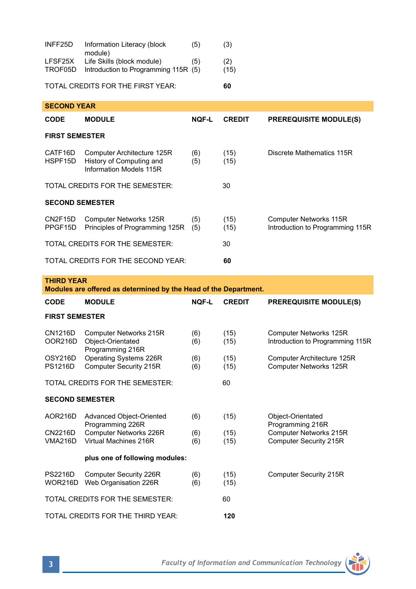| INFF25D            | Information Literacy (block<br>module)                             | (5) | (3)         |  |
|--------------------|--------------------------------------------------------------------|-----|-------------|--|
| LFSF25X<br>TROF05D | Life Skills (block module)<br>Introduction to Programming 115R (5) | (5) | (2)<br>(15) |  |
|                    | TOTAL CREDITS FOR THE FIRST YEAR:                                  |     | 60          |  |
|                    |                                                                    |     |             |  |
| <b>SECOND YEAR</b> |                                                                    |     |             |  |

| <b>CODE</b>                              | <b>MODULE</b>                                                                     | <b>NOF-L</b> | <b>CREDIT</b> | <b>PREREQUISITE MODULE(S)</b>                              |  |
|------------------------------------------|-----------------------------------------------------------------------------------|--------------|---------------|------------------------------------------------------------|--|
| <b>FIRST SEMESTER</b>                    |                                                                                   |              |               |                                                            |  |
| CATF16D<br>HSPF15D                       | Computer Architecture 125R<br>History of Computing and<br>Information Models 115R | (6)<br>(5)   | (15)<br>(15)  | Discrete Mathematics 115R                                  |  |
| TOTAL CREDITS FOR THE SEMESTER:          |                                                                                   |              | 30            |                                                            |  |
| <b>SECOND SEMESTER</b>                   |                                                                                   |              |               |                                                            |  |
| CN2F15D<br>PPGF15D                       | Computer Networks 125R<br>Principles of Programming 125R                          | (5)<br>(5)   | (15)<br>(15)  | Computer Networks 115R<br>Introduction to Programming 115R |  |
|                                          | TOTAL CREDITS FOR THE SEMESTER:                                                   |              | 30            |                                                            |  |
| TOTAL CREDITS FOR THE SECOND YEAR:<br>60 |                                                                                   |              |               |                                                            |  |

### **THIRD YEAR**

**Modules are offered as determined by the Head of the Department.**

| CODE                                  | <b>MODULE</b>                                                   | <b>NOF-L</b> | <b>CREDIT</b> | <b>PREREQUISITE MODULE(S)</b>                              |  |
|---------------------------------------|-----------------------------------------------------------------|--------------|---------------|------------------------------------------------------------|--|
| <b>FIRST SEMESTER</b>                 |                                                                 |              |               |                                                            |  |
| CN1216D<br>OOR216D                    | Computer Networks 215R<br>Object-Orientated<br>Programming 216R | (6)<br>(6)   | (15)<br>(15)  | Computer Networks 125R<br>Introduction to Programming 115R |  |
| OSY216D<br><b>PS1216D</b>             | Operating Systems 226R<br><b>Computer Security 215R</b>         | (6)<br>(6)   | (15)<br>(15)  | Computer Architecture 125R<br>Computer Networks 125R       |  |
| TOTAL CREDITS FOR THE SEMESTER:<br>60 |                                                                 |              |               |                                                            |  |
| <b>SECOND SEMESTER</b>                |                                                                 |              |               |                                                            |  |
| AOR216D                               | Advanced Object-Oriented<br>Programming 226R                    | (6)          | (15)          | Object-Orientated<br>Programming 216R                      |  |
| CN2216D<br><b>VMA216D</b>             | Computer Networks 226R<br>Virtual Machines 216R                 | (6)<br>(6)   | (15)<br>(15)  | Computer Networks 215R<br><b>Computer Security 215R</b>    |  |
| plus one of following modules:        |                                                                 |              |               |                                                            |  |
| <b>PS2216D</b><br><b>WOR216D</b>      | Computer Security 226R<br>Web Organisation 226R                 | (6)<br>(6)   | (15)<br>(15)  | <b>Computer Security 215R</b>                              |  |
| TOTAL CREDITS FOR THE SEMESTER:<br>60 |                                                                 |              |               |                                                            |  |
| TOTAL CREDITS FOR THE THIRD YEAR:     |                                                                 |              | 120           |                                                            |  |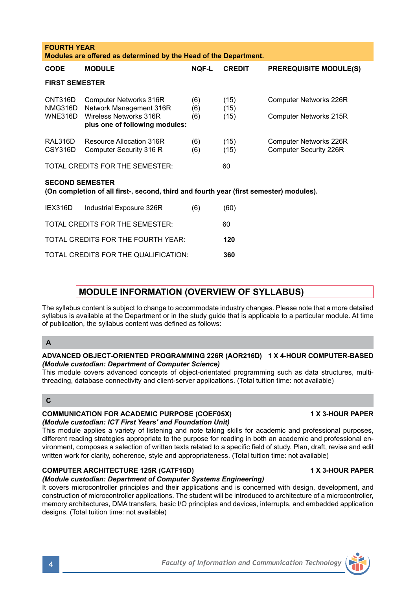| CNT316D<br>NMG316D<br><b>WNE316D</b>                                                                                                                                                                                            | Computer Networks 316R<br>Network Management 316R<br>Wireless Networks 316R<br>plus one of following modules: | (6)<br>(6)<br>(6) | (15)<br>(15)<br>(15) | Computer Networks 226R<br>Computer Networks 215R |  |
|---------------------------------------------------------------------------------------------------------------------------------------------------------------------------------------------------------------------------------|---------------------------------------------------------------------------------------------------------------|-------------------|----------------------|--------------------------------------------------|--|
| RAL316D<br>CSY316D                                                                                                                                                                                                              | Resource Allocation 316R<br>Computer Security 316 R                                                           | (6)<br>(6)        | (15)<br>(15)         | Computer Networks 226R<br>Computer Security 226R |  |
|                                                                                                                                                                                                                                 | TOTAL CREDITS FOR THE SEMESTER:                                                                               |                   | 60                   |                                                  |  |
| <b>SECOND SEMESTER</b><br>(On completion of all first-, second, third and fourth year (first semester) modules).                                                                                                                |                                                                                                               |                   |                      |                                                  |  |
| IEX316D                                                                                                                                                                                                                         | Industrial Exposure 326R                                                                                      | (6)               | (60)                 |                                                  |  |
| TOTAL CREDITS FOR THE SEMESTER:<br>60                                                                                                                                                                                           |                                                                                                               |                   |                      |                                                  |  |
|                                                                                                                                                                                                                                 | TOTAL CREDITS FOR THE FOURTH YEAR:                                                                            |                   | 120                  |                                                  |  |
|                                                                                                                                                                                                                                 | TOTAL CREDITS FOR THE QUALIFICATION:                                                                          |                   | 360                  |                                                  |  |
|                                                                                                                                                                                                                                 |                                                                                                               |                   |                      |                                                  |  |
| <b>MODULE INFORMATION (OVERVIEW OF SYLLABUS)</b>                                                                                                                                                                                |                                                                                                               |                   |                      |                                                  |  |
| The syllabus content is subject to change to accommodate industry changes. Please note that a more detailed<br>syllabus is available at the Department or in the study quide that is applicable to a particular module. At time |                                                                                                               |                   |                      |                                                  |  |

**CODE MODULE NQF-L CREDIT PREREQUISITE MODULE(S)**

**Modules are offered as determined by the Head of the Department.**

syllabus is available at the Department or in the study guide that is applicable to a particular module. At time of publication, the syllabus content was defined as follows:

## **A**

**FOURTH YEAR** 

**FIRST SEMESTER**

### **ADVANCED OBJECT-ORIENTED PROGRAMMING 226R (AOR216D) 1 X 4-HOUR COMPUTER-BASED** *(Module custodian: Department of Computer Science)*

This module covers advanced concepts of object-orientated programming such as data structures, multithreading, database connectivity and client-server applications. (Total tuition time: not available)

## **C**

### **COMMUNICATION FOR ACADEMIC PURPOSE (COEF05X) 1 X 3-HOUR PAPER** *(Module custodian: ICT First Years' and Foundation Unit)*

This module applies a variety of listening and note taking skills for academic and professional purposes, different reading strategies appropriate to the purpose for reading in both an academic and professional environment, composes a selection of written texts related to a specific field of study. Plan, draft, revise and edit written work for clarity, coherence, style and appropriateness. (Total tuition time: not available)

## **COMPUTER ARCHITECTURE 125R (CATF16D) 1 X 3-HOUR PAPER**

## *(Module custodian: Department of Computer Systems Engineering)*

It covers microcontroller principles and their applications and is concerned with design, development, and construction of microcontroller applications. The student will be introduced to architecture of a microcontroller, memory architectures, DMA transfers, basic I/O principles and devices, interrupts, and embedded application designs. (Total tuition time: not available)

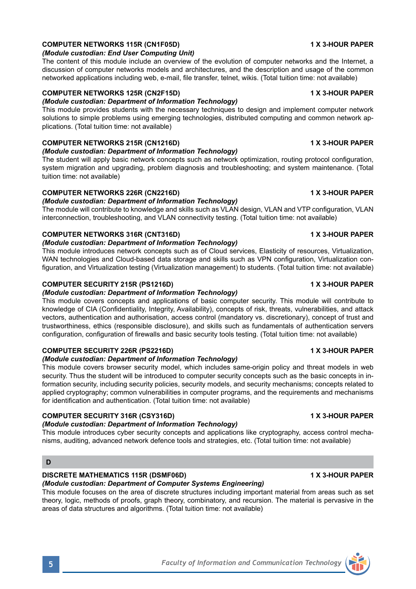## **COMPUTER NETWORKS 115R (CN1F05D) 1 X 3-HOUR PAPER**

### *(Module custodian: End User Computing Unit)*

The content of this module include an overview of the evolution of computer networks and the Internet, a discussion of computer networks models and architectures, and the description and usage of the common networked applications including web, e-mail, file transfer, telnet, wikis. (Total tuition time: not available)

## **COMPUTER NETWORKS 125R (CN2F15D) 1 X 3-HOUR PAPER**

*(Module custodian: Department of Information Technology)*  This module provides students with the necessary techniques to design and implement computer network solutions to simple problems using emerging technologies, distributed computing and common network applications. (Total tuition time: not available)

## **COMPUTER NETWORKS 215R (CN1216D) 1 X 3-HOUR PAPER**

## *(Module custodian: Department of Information Technology)*

The student will apply basic network concepts such as network optimization, routing protocol configuration, system migration and upgrading, problem diagnosis and troubleshooting; and system maintenance. (Total tuition time: not available)

## **COMPUTER NETWORKS 226R (CN2216D) 1 X 3-HOUR PAPER**

# *(Module custodian: Department of Information Technology)*

The module will contribute to knowledge and skills such as VLAN design, VLAN and VTP configuration, VLAN interconnection, troubleshooting, and VLAN connectivity testing. (Total tuition time: not available)

## **COMPUTER NETWORKS 316R (CNT316D) 1 X 3-HOUR PAPER**

## *(Module custodian: Department of Information Technology)*

This module introduces network concepts such as of Cloud services, Elasticity of resources, Virtualization, WAN technologies and Cloud-based data storage and skills such as VPN configuration, Virtualization configuration, and Virtualization testing (Virtualization management) to students. (Total tuition time: not available)

## **COMPUTER SECURITY 215R (PS1216D) 1 X 3-HOUR PAPER**

## *(Module custodian: Department of Information Technology)*

This module covers concepts and applications of basic computer security. This module will contribute to knowledge of CIA (Confidentiality, Integrity, Availability), concepts of risk, threats, vulnerabilities, and attack vectors, authentication and authorisation, access control (mandatory vs. discretionary), concept of trust and trustworthiness, ethics (responsible disclosure), and skills such as fundamentals of authentication servers configuration, configuration of firewalls and basic security tools testing. (Total tuition time: not available)

## **COMPUTER SECURITY 226R (PS2216D) 1 X 3-HOUR PAPER**

## *(Module custodian: Department of Information Technology)*

This module covers browser security model, which includes same-origin policy and threat models in web security. Thus the student will be introduced to computer security concepts such as the basic concepts in information security, including security policies, security models, and security mechanisms; concepts related to applied cryptography; common vulnerabilities in computer programs, and the requirements and mechanisms for identification and authentication. (Total tuition time: not available)

## **COMPUTER SECURITY 316R (CSY316D) 1 X 3-HOUR PAPER**

## *(Module custodian: Department of Information Technology)*

This module introduces cyber security concepts and applications like cryptography, access control mechanisms, auditing, advanced network defence tools and strategies, etc. (Total tuition time: not available)

## **D**

## **DISCRETE MATHEMATICS 115R (DSMF06D) 1 X 3-HOUR PAPER**

## *(Module custodian: Department of Computer Systems Engineering)*

This module focuses on the area of discrete structures including important material from areas such as set theory, logic, methods of proofs, graph theory, combinatory, and recursion. The material is pervasive in the areas of data structures and algorithms. (Total tuition time: not available)

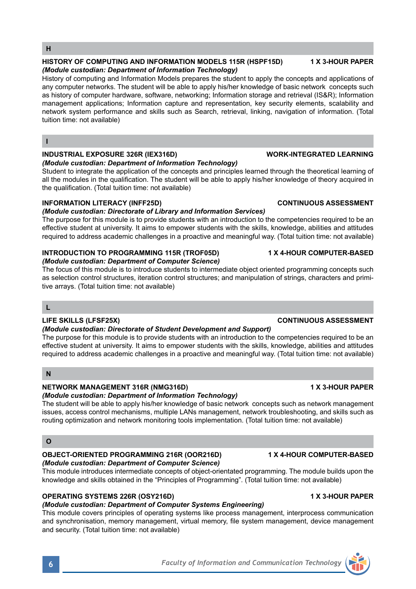#### **OPERATING SYSTEMS 226R (OSY216D) 1 X 3-HOUR PAPER**

#### *(Module custodian: Department of Computer Systems Engineering)*

This module covers principles of operating systems like process management, interprocess communication and synchronisation, memory management, virtual memory, file system management, device management and security. (Total tuition time: not available)

This module introduces intermediate concepts of object-orientated programming. The module builds upon the knowledge and skills obtained in the "Principles of Programming". (Total tuition time: not available)

## **H**

#### **HISTORY OF COMPUTING AND INFORMATION MODELS 115R (HSPF15D) 1 X 3-HOUR PAPER** *(Module custodian: Department of Information Technology)*

History of computing and Information Models prepares the student to apply the concepts and applications of any computer networks. The student will be able to apply his/her knowledge of basic network concepts such as history of computer hardware, software, networking; Information storage and retrieval (IS&R); Information management applications; Information capture and representation, key security elements, scalability and network system performance and skills such as Search, retrieval, linking, navigation of information. (Total tuition time: not available)

#### **I**

### **INDUSTRIAL EXPOSURE 326R (IEX316D) WORK-INTEGRATED LEARNING**

#### *(Module custodian: Department of Information Technology)*

Student to integrate the application of the concepts and principles learned through the theoretical learning of all the modules in the qualification. The student will be able to apply his/her knowledge of theory acquired in the qualification. (Total tuition time: not available)

### **INFORMATION LITERACY (INFF25D) CONTINUOUS ASSESSMENT**

### *(Module custodian: Directorate of Library and Information Services)*

The purpose for this module is to provide students with an introduction to the competencies required to be an effective student at university. It aims to empower students with the skills, knowledge, abilities and attitudes required to address academic challenges in a proactive and meaningful way. (Total tuition time: not available)

#### **INTRODUCTION TO PROGRAMMING 115R (TROF05D) 1 X 4-HOUR COMPUTER-BASED** *(Module custodian: Department of Computer Science)*

The focus of this module is to introduce students to intermediate object oriented programming concepts such as selection control structures, iteration control structures; and manipulation of strings, characters and primitive arrays. (Total tuition time: not available)

### **L**

### **LIFE SKILLS (LFSF25X) CONTINUOUS ASSESSMENT**

#### *(Module custodian: Directorate of Student Development and Support)*

The purpose for this module is to provide students with an introduction to the competencies required to be an effective student at university. It aims to empower students with the skills, knowledge, abilities and attitudes required to address academic challenges in a proactive and meaningful way. (Total tuition time: not available)

## **N**

### **NETWORK MANAGEMENT 316R (NMG316D) 1 X 3-HOUR PAPER**

## *(Module custodian: Department of Information Technology)*

The student will be able to apply his/her knowledge of basic network concepts such as network management issues, access control mechanisms, multiple LANs management, network troubleshooting, and skills such as routing optimization and network monitoring tools implementation. (Total tuition time: not available)

## **O**

#### **OBJECT-ORIENTED PROGRAMMING 216R (OOR216D) 1 X 4-HOUR COMPUTER-BASED** *(Module custodian: Department of Computer Science)*